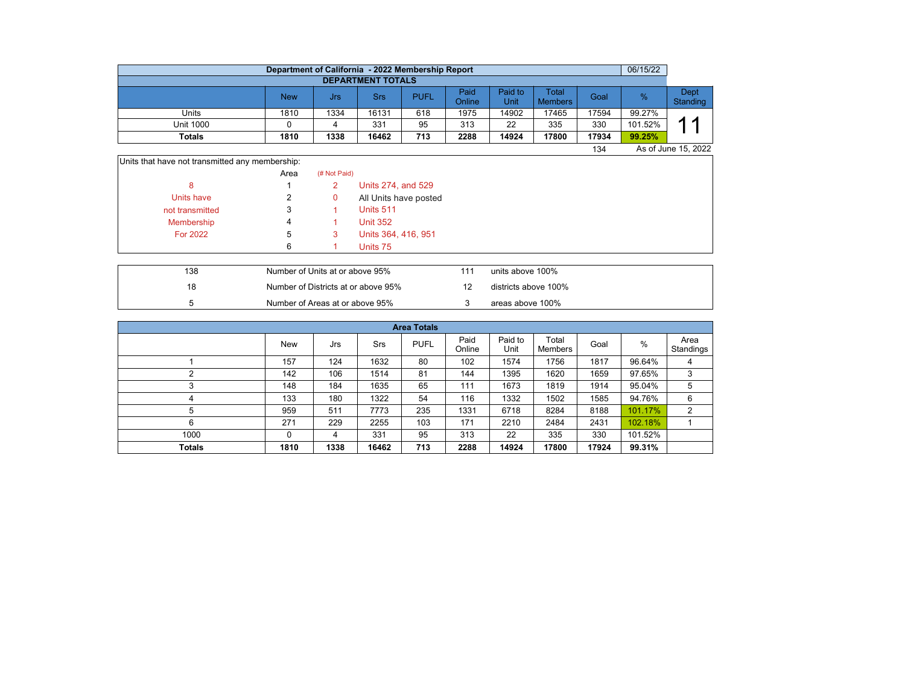|                  | Department of California - 2022 Membership Report |      |                 |             |                       |                 |                         |       | 06/15/22      |                  |  |  |  |  |  |
|------------------|---------------------------------------------------|------|-----------------|-------------|-----------------------|-----------------|-------------------------|-------|---------------|------------------|--|--|--|--|--|
|                  | <b>DEPARTMENT TOTALS</b>                          |      |                 |             |                       |                 |                         |       |               |                  |  |  |  |  |  |
|                  | <b>New</b>                                        | Jrs  | Srs             | <b>PUFL</b> | Paid<br><b>Online</b> | Paid to<br>Unit | Total<br><b>Members</b> | Goal  | $\frac{9}{6}$ | Dept<br>Standing |  |  |  |  |  |
| Units            | 1810                                              | 1334 | 16131           | 618         | 1975                  | 14902           | 17465                   | 17594 | 99.27%        |                  |  |  |  |  |  |
| <b>Unit 1000</b> |                                                   |      | 33 <sup>2</sup> | 95          | 313                   | 22              | 335                     | 330   | 101.52%       | И                |  |  |  |  |  |
| <b>Totals</b>    | 1810                                              | 1338 | 16462           | 713         | 2288                  | 14924           | 17800                   | 17934 | 99.25%        |                  |  |  |  |  |  |
|                  | As of June 15, 2022<br>134                        |      |                 |             |                       |                 |                         |       |               |                  |  |  |  |  |  |

Units that have not transmitted any membership:

|                 | Area | (# Not Paid) |                       |
|-----------------|------|--------------|-----------------------|
| 8               |      | 2            | Units 274, and 529    |
| Units have      | 2    | 0            | All Units have posted |
| not transmitted | 3    |              | Units 511             |
| Membership      | 4    |              | <b>Unit 352</b>       |
| <b>For 2022</b> | 5    | 3            | Units 364, 416, 951   |
|                 | 6    |              | Units 75              |

| 138 | Number of Units at or above 95%     | units above 100%     |
|-----|-------------------------------------|----------------------|
| 18  | Number of Districts at or above 95% | districts above 100% |
|     | Number of Areas at or above 95%     | areas above 100%     |

| <b>Area Totals</b> |            |      |       |             |                |                 |                  |       |         |                   |  |  |  |
|--------------------|------------|------|-------|-------------|----------------|-----------------|------------------|-------|---------|-------------------|--|--|--|
|                    | <b>New</b> | Jrs  | Srs   | <b>PUFL</b> | Paid<br>Online | Paid to<br>Unit | Total<br>Members | Goal  | %       | Area<br>Standings |  |  |  |
|                    | 157        | 124  | 1632  | 80          | 102            | 1574            | 1756             | 1817  | 96.64%  | 4                 |  |  |  |
|                    | 142        | 106  | 1514  | 81          | 144            | 1395            | 1620             | 1659  | 97.65%  | 3                 |  |  |  |
| $\sqrt{2}$<br>د    | 148        | 184  | 1635  | 65          | 111            | 1673            | 1819             | 1914  | 95.04%  | 5                 |  |  |  |
| 4                  | 133        | 180  | 1322  | 54          | 116            | 1332            | 1502             | 1585  | 94.76%  | 6                 |  |  |  |
| 5                  | 959        | 511  | 7773  | 235         | 1331           | 6718            | 8284             | 8188  | 101.17% | $\overline{2}$    |  |  |  |
| 6                  | 271        | 229  | 2255  | 103         | 171            | 2210            | 2484             | 2431  | 102.18% |                   |  |  |  |
| 1000               | 0          | 4    | 331   | 95          | 313            | 22              | 335              | 330   | 101.52% |                   |  |  |  |
| <b>Totals</b>      | 1810       | 1338 | 16462 | 713         | 2288           | 14924           | 17800            | 17924 | 99.31%  |                   |  |  |  |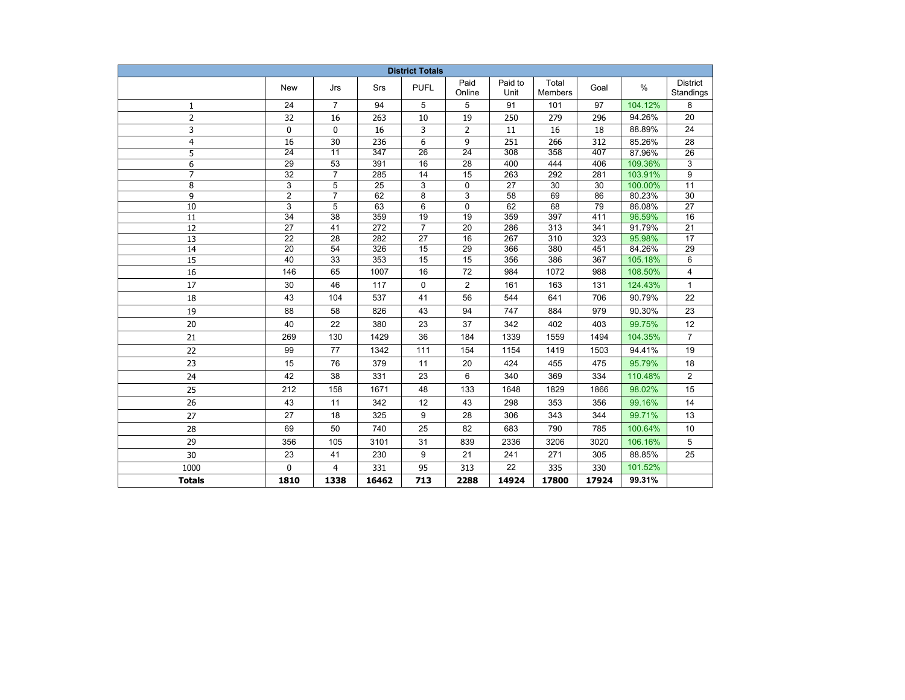| <b>District Totals</b> |                         |                 |            |                 |                 |                  |                         |            |                  |                              |
|------------------------|-------------------------|-----------------|------------|-----------------|-----------------|------------------|-------------------------|------------|------------------|------------------------------|
|                        | New                     | Jrs             | Srs        | <b>PUFL</b>     | Paid<br>Online  | Paid to<br>Unit  | Total<br><b>Members</b> | Goal       | $\%$             | <b>District</b><br>Standings |
| 1                      | 24                      | $\overline{7}$  | 94         | 5               | 5               | 91               | 101                     | 97         | 104.12%          | 8                            |
| $\overline{2}$         | 32                      | 16              | 263        | 10              | 19              | 250              | 279                     | 296        | 94.26%           | 20                           |
| 3                      | 0                       | 0               | 16         | 3               | 2               | 11               | 16                      | 18         | 88.89%           | 24                           |
| $\overline{4}$         | 16                      | 30              | 236        | 6               | 9               | 251              | 266                     | 312        | 85.26%           | 28                           |
| 5                      | $\overline{24}$         | $\overline{11}$ | 347        | $\overline{26}$ | $\overline{24}$ | $\overline{308}$ | 358                     | 407        | 87.96%           | 26                           |
| 6                      | $\overline{29}$         | 53              | 391        | 16              | 28              | 400              | 444                     | 406        | 109.36%          | 3                            |
| $\overline{7}$         | $\overline{32}$         | $\overline{7}$  | 285        | 14              | 15              | 263              | 292                     | 281        | 103.91%          | 9                            |
| 8                      | 3                       | 5               | 25         | 3               | 0               | 27               | 30                      | 30         | 100.00%          | $\overline{11}$              |
| 9                      | $\overline{\mathbf{c}}$ | $\overline{7}$  | 62         | 8               | 3               | 58               | 69                      | 86         | 80.23%           | 30                           |
| 10                     | 3                       | 5               | 63         | 6               | 0               | 62               | 68                      | 79         | 86.08%           | 27                           |
| 11                     | 34                      | 38              | 359        | 19              | 19              | 359              | 397                     | 411        | 96.59%           | 16                           |
| 12                     | 27                      | 41              | 272        | 7<br>27         | 20<br>16        | 286<br>267       | 313                     | 341        | 91.79%           | 21                           |
| 13<br>14               | 22<br>$\overline{20}$   | 28<br>54        | 282<br>326 | 15              | $\overline{29}$ | 366              | 310<br>380              | 323<br>451 | 95.98%<br>84.26% | 17<br>29                     |
| $\overline{15}$        | 40                      | $\overline{33}$ | 353        | 15              | $\overline{15}$ | 356              | 386                     | 367        | 105.18%          | 6                            |
| 16                     | 146                     | 65              | 1007       | 16              | $72\,$          | 984              | 1072                    | 988        | 108.50%          | 4                            |
| 17                     | 30                      | 46              | 117        | $\mathbf 0$     | $\overline{2}$  | 161              | 163                     | 131        | 124.43%          | $\mathbf{1}$                 |
| 18                     | 43                      | 104             | 537        | 41              | 56              | 544              | 641                     | 706        | 90.79%           | 22                           |
| 19                     | 88                      | 58              | 826        | 43              | 94              | 747              | 884                     | 979        | 90.30%           | 23                           |
| 20                     | 40                      | 22              | 380        | 23              | 37              | 342              | 402                     | 403        | 99.75%           | 12                           |
| 21                     | 269                     | 130             | 1429       | 36              | 184             | 1339             | 1559                    | 1494       | 104.35%          | $\overline{7}$               |
| 22                     | 99                      | 77              | 1342       | 111             | 154             | 1154             | 1419                    | 1503       | 94.41%           | 19                           |
| 23                     | 15                      | 76              | 379        | 11              | 20              | 424              | 455                     | 475        | 95.79%           | 18                           |
| 24                     | 42                      | 38              | 331        | 23              | 6               | 340              | 369                     | 334        | 110.48%          | 2                            |
| 25                     | 212                     | 158             | 1671       | 48              | 133             | 1648             | 1829                    | 1866       | 98.02%           | 15                           |
| 26                     | 43                      | 11              | 342        | 12              | 43              | 298              | 353                     | 356        | 99.16%           | 14                           |
| 27                     | 27                      | 18              | 325        | 9               | 28              | 306              | 343                     | 344        | 99.71%           | 13                           |
| 28                     | 69                      | 50              | 740        | 25              | 82              | 683              | 790                     | 785        | 100.64%          | 10                           |
| 29                     | 356                     | 105             | 3101       | 31              | 839             | 2336             | 3206                    | 3020       | 106.16%          | 5                            |
| 30                     | 23                      | 41              | 230        | 9               | 21              | 241              | 271                     | 305        | 88.85%           | 25                           |
| 1000                   | $\Omega$                | 4               | 331        | 95              | 313             | 22               | 335                     | 330        | 101.52%          |                              |
| <b>Totals</b>          | 1810                    | 1338            | 16462      | 713             | 2288            | 14924            | 17800                   | 17924      | 99.31%           |                              |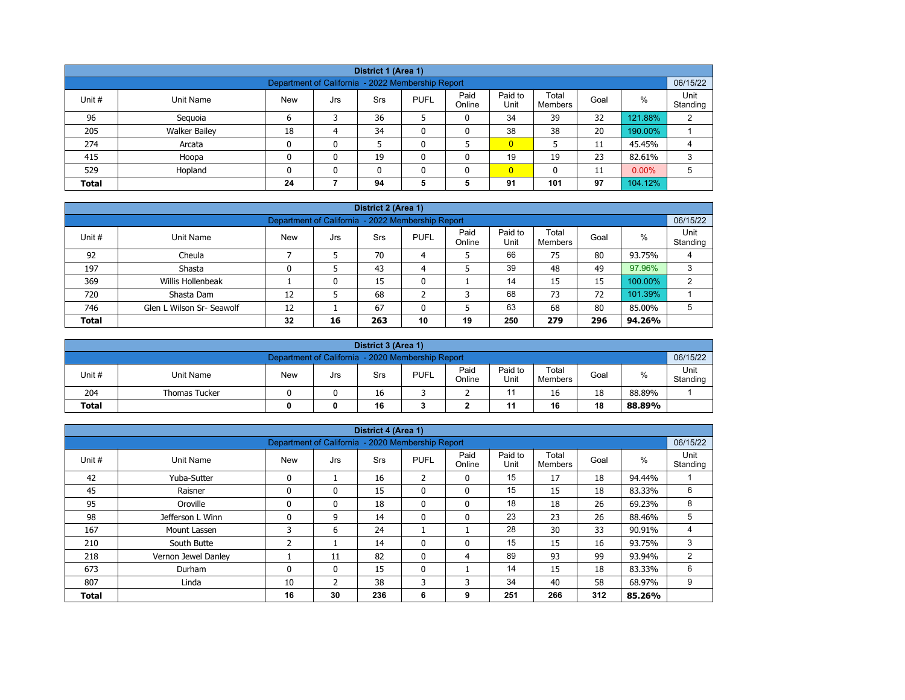| District 1 (Area 1)                                           |                                                                                                                                                         |    |   |    |   |   |                |     |    |         |   |  |  |
|---------------------------------------------------------------|---------------------------------------------------------------------------------------------------------------------------------------------------------|----|---|----|---|---|----------------|-----|----|---------|---|--|--|
| 06/15/22<br>Department of California - 2022 Membership Report |                                                                                                                                                         |    |   |    |   |   |                |     |    |         |   |  |  |
| Unit #                                                        | Paid<br>Paid to<br>Total<br>$\%$<br><b>PUFL</b><br>Goal<br>Unit Name<br><b>New</b><br><b>Srs</b><br>Jrs<br>Online<br>Unit<br>Standing<br><b>Members</b> |    |   |    |   |   |                |     |    |         |   |  |  |
| 96                                                            | Seguoia                                                                                                                                                 | 6  |   | 36 |   | 0 | 34             | 39  | 32 | 121.88% | 2 |  |  |
| 205                                                           | <b>Walker Bailey</b>                                                                                                                                    | 18 | 4 | 34 | ٥ | 0 | 38             | 38  | 20 | 190.00% |   |  |  |
| 274                                                           | Arcata                                                                                                                                                  | 0  | 0 |    |   |   | $\overline{0}$ |     | 11 | 45.45%  | 4 |  |  |
| 415                                                           | Hoopa                                                                                                                                                   | 0  | 0 | 19 | ٥ | 0 | 19             | 19  | 23 | 82.61%  | 3 |  |  |
| 529                                                           | $\overline{0}$<br>$0.00\%$<br>Hopland<br>5<br>0<br>$\mathbf{0}$<br>11<br>n<br>0                                                                         |    |   |    |   |   |                |     |    |         |   |  |  |
| <b>Total</b>                                                  |                                                                                                                                                         | 24 |   | 94 | 5 | 5 | 91             | 101 | 97 | 104.12% |   |  |  |

|              | District 2 (Area 1)                                                                                                                               |    |    |     |    |    |     |     |     |         |   |  |  |  |
|--------------|---------------------------------------------------------------------------------------------------------------------------------------------------|----|----|-----|----|----|-----|-----|-----|---------|---|--|--|--|
|              | 06/15/22<br>Department of California - 2022 Membership Report                                                                                     |    |    |     |    |    |     |     |     |         |   |  |  |  |
| Unit #       | Paid<br>Paid to<br>Unit<br>Total<br>$\%$<br><b>PUFL</b><br><b>New</b><br>Unit Name<br>Srs<br>Goal<br>Jrs<br>Unit<br>Standing<br>Online<br>Members |    |    |     |    |    |     |     |     |         |   |  |  |  |
| 92           | Cheula                                                                                                                                            |    |    | 70  | 4  |    | 66  | 75  | 80  | 93.75%  |   |  |  |  |
| 197          | Shasta                                                                                                                                            |    |    | 43  | 4  |    | 39  | 48  | 49  | 97.96%  |   |  |  |  |
| 369          | Willis Hollenbeak                                                                                                                                 |    | 0  | 15  | 0  |    | 14  | 15  | 15  | 100.00% | C |  |  |  |
| 720          | Shasta Dam                                                                                                                                        | 12 |    | 68  | ີ  | 3  | 68  | 73  | 72  | 101.39% |   |  |  |  |
| 746          | 67<br>63<br>80<br>68<br>Glen L Wilson Sr- Seawolf<br>12<br>5<br>85.00%<br>5<br>0                                                                  |    |    |     |    |    |     |     |     |         |   |  |  |  |
| <b>Total</b> |                                                                                                                                                   | 32 | 16 | 263 | 10 | 19 | 250 | 279 | 296 | 94.26%  |   |  |  |  |

|                                                     | District 3 (Area 1)                                           |            |     |     |             |                |                 |                  |      |        |                  |  |  |
|-----------------------------------------------------|---------------------------------------------------------------|------------|-----|-----|-------------|----------------|-----------------|------------------|------|--------|------------------|--|--|
|                                                     | 06/15/22<br>Department of California - 2020 Membership Report |            |     |     |             |                |                 |                  |      |        |                  |  |  |
| Unit#                                               | Unit Name                                                     | <b>New</b> | Jrs | Srs | <b>PUFL</b> | Paid<br>Online | Paid to<br>Unit | Total<br>Members | Goal | %      | Unit<br>Standing |  |  |
| 204                                                 | <b>Thomas Tucker</b>                                          |            |     | 16  |             |                |                 | 16               | 18   | 88.89% |                  |  |  |
| 16<br>18<br><b>Total</b><br>16<br>11<br>88.89%<br>0 |                                                               |            |     |     |             |                |                 |                  |      |        |                  |  |  |

|              |                     |                                                   |              | District 4 (Area 1) |                |                |                 |                         |      |        |                  |
|--------------|---------------------|---------------------------------------------------|--------------|---------------------|----------------|----------------|-----------------|-------------------------|------|--------|------------------|
|              |                     | Department of California - 2020 Membership Report |              |                     |                |                |                 |                         |      |        | 06/15/22         |
| Unit #       | <b>Unit Name</b>    | <b>New</b>                                        | Jrs          | <b>Srs</b>          | <b>PUFL</b>    | Paid<br>Online | Paid to<br>Unit | Total<br><b>Members</b> | Goal | $\%$   | Unit<br>Standing |
| 42           | Yuba-Sutter         | $\mathbf{0}$                                      |              | 16                  | $\overline{2}$ | 0              | 15              | 17                      | 18   | 94.44% |                  |
| 45           | Raisner             | $\mathbf{0}$                                      | 0            | 15                  | $\mathbf{0}$   | 0              | 15              | 15                      | 18   | 83.33% | 6                |
| 95           | Oroville            | $\mathbf{0}$                                      | 0            | 18                  | 0              | 0              | 18              | 18                      | 26   | 69.23% | 8                |
| 98           | Jefferson L Winn    |                                                   | 9            | 14                  | $\mathbf{0}$   | 0              | 23              | 23                      | 26   | 88.46% | 5                |
| 167          | Mount Lassen        | 3                                                 | 6            | 24                  | л.             |                | 28              | 30                      | 33   | 90.91% | 4                |
| 210          | South Butte         | ີ                                                 |              | 14                  | $\mathbf{0}$   | 0              | 15              | 15                      | 16   | 93.75% | 3                |
| 218          | Vernon Jewel Danley |                                                   | 11           | 82                  | $\mathbf{0}$   | 4              | 89              | 93                      | 99   | 93.94% | 2                |
| 673          | Durham              | $\mathbf{0}$                                      | $\mathbf{0}$ | 15                  | $\mathbf{0}$   |                | 14              | 15                      | 18   | 83.33% | 6                |
| 807          | Linda               | 10                                                | 2            | 38                  | 3              | 3              | 34              | 40                      | 58   | 68.97% | 9                |
| <b>Total</b> |                     | 16                                                | 30           | 236                 | 6              | 9              | 251             | 266                     | 312  | 85.26% |                  |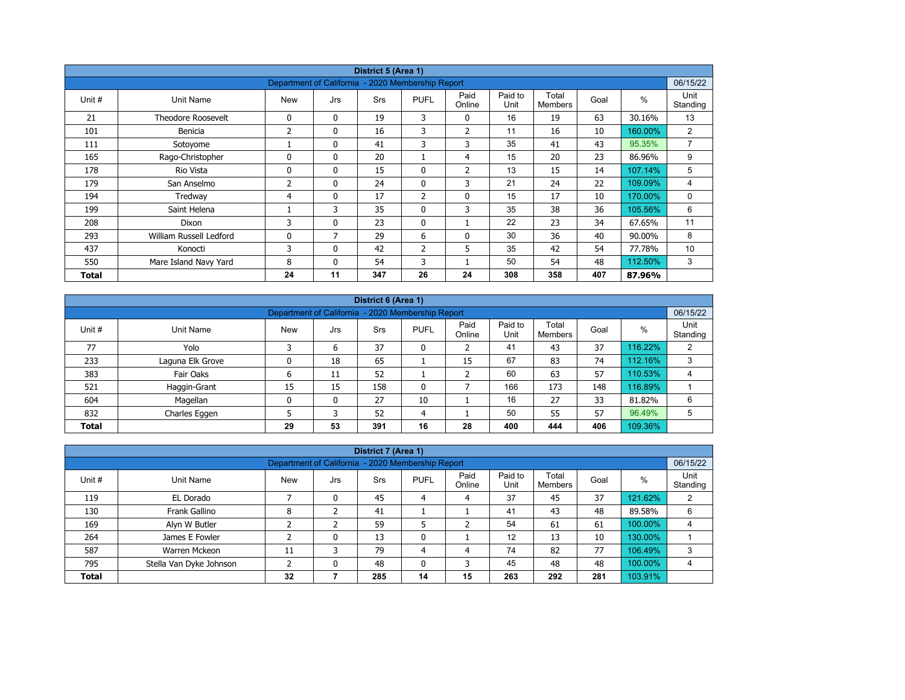|        |                           |                                                   |              | District 5 (Area 1) |                |                |                 |                         |      |         |                  |
|--------|---------------------------|---------------------------------------------------|--------------|---------------------|----------------|----------------|-----------------|-------------------------|------|---------|------------------|
|        |                           | Department of California - 2020 Membership Report |              |                     |                |                |                 |                         |      |         | 06/15/22         |
| Unit # | Unit Name                 | <b>New</b>                                        | Jrs          | <b>Srs</b>          | <b>PUFL</b>    | Paid<br>Online | Paid to<br>Unit | Total<br><b>Members</b> | Goal | $\%$    | Unit<br>Standing |
| 21     | <b>Theodore Roosevelt</b> | 0                                                 | $\mathbf{0}$ | 19                  | 3              | 0              | 16              | 19                      | 63   | 30.16%  | 13               |
| 101    | Benicia                   | 2                                                 | 0            | 16                  | 3              | $\overline{2}$ | 11              | 16                      | 10   | 160.00% | $\overline{2}$   |
| 111    | Sotoyome                  |                                                   | $\mathbf{0}$ | 41                  | 3              | 3              | 35              | 41                      | 43   | 95.35%  | $\overline{7}$   |
| 165    | Rago-Christopher          | $\Omega$                                          | $\mathbf{0}$ | 20                  |                | 4              | 15              | 20                      | 23   | 86.96%  | 9                |
| 178    | Rio Vista                 | 0                                                 | $\mathbf{0}$ | 15                  | 0              | 2              | 13              | 15                      | 14   | 107.14% | 5                |
| 179    | San Anselmo               | 2                                                 | $\mathbf{0}$ | 24                  | $\mathbf{0}$   | 3              | 21              | 24                      | 22   | 109.09% | 4                |
| 194    | Tredway                   | 4                                                 | 0            | 17                  | $\overline{2}$ | $\mathbf 0$    | 15              | 17                      | 10   | 170.00% | 0                |
| 199    | Saint Helena              |                                                   | 3            | 35                  | $\mathbf{0}$   | 3              | 35              | 38                      | 36   | 105.56% | 6                |
| 208    | Dixon                     | 3                                                 | 0            | 23                  | $\mathbf{0}$   |                | 22              | 23                      | 34   | 67.65%  | 11               |
| 293    | William Russell Ledford   | 0                                                 | 7            | 29                  | 6              | 0              | 30              | 36                      | 40   | 90.00%  | 8                |
| 437    | Konocti                   | 3                                                 | $\mathbf{0}$ | 42                  | $\overline{2}$ | 5              | 35              | 42                      | 54   | 77.78%  | 10               |
| 550    | Mare Island Navy Yard     | 8                                                 | $\mathbf{0}$ | 54                  | 3              |                | 50              | 54                      | 48   | 112.50% | 3                |
| Total  |                           | 24                                                | 11           | 347                 | 26             | 24             | 308             | 358                     | 407  | 87.96%  |                  |

| District 6 (Area 1) |                                                                                                                                        |              |    |     |    |    |     |     |     |         |   |  |  |  |
|---------------------|----------------------------------------------------------------------------------------------------------------------------------------|--------------|----|-----|----|----|-----|-----|-----|---------|---|--|--|--|
|                     | 06/15/22<br>Department of California - 2020 Membership Report                                                                          |              |    |     |    |    |     |     |     |         |   |  |  |  |
| Unit #              | Paid<br>Paid to<br>Total<br>%<br><b>PUFL</b><br>Goal<br>Srs<br>Unit Name<br><b>New</b><br>Jrs<br>Unit<br>Online<br>Members<br>Standing |              |    |     |    |    |     |     |     |         |   |  |  |  |
| 77                  | Yolo                                                                                                                                   | <sup>-</sup> | 6  | 37  | 0  |    | 41  | 43  | 37  | 116.22% | 2 |  |  |  |
| 233                 | Laguna Elk Grove                                                                                                                       | 0            | 18 | 65  |    | 15 | 67  | 83  | 74  | 112.16% | 3 |  |  |  |
| 383                 | Fair Oaks                                                                                                                              | ь            | 11 | 52  |    |    | 60  | 63  | 57  | 110.53% | 4 |  |  |  |
| 521                 | Haggin-Grant                                                                                                                           | 15           | 15 | 158 | 0  |    | 166 | 173 | 148 | 116.89% |   |  |  |  |
| 604                 | Magellan                                                                                                                               | 0            | 0  | 27  | 10 |    | 16  | 27  | 33  | 81.82%  | 6 |  |  |  |
| 832                 | Charles Eggen                                                                                                                          |              |    | 52  | 4  |    | 50  | 55  | 57  | 96.49%  | 5 |  |  |  |
| <b>Total</b>        |                                                                                                                                        | 29           | 53 | 391 | 16 | 28 | 400 | 444 | 406 | 109.36% |   |  |  |  |

|              |                         |                                                   |              | District 7 (Area 1) |             |                |                 |                  |      |         |                  |
|--------------|-------------------------|---------------------------------------------------|--------------|---------------------|-------------|----------------|-----------------|------------------|------|---------|------------------|
|              |                         | Department of California - 2020 Membership Report |              |                     |             |                |                 |                  |      |         | 06/15/22         |
| Unit #       | Unit Name               | <b>New</b>                                        | Jrs          | <b>Srs</b>          | <b>PUFL</b> | Paid<br>Online | Paid to<br>Unit | Total<br>Members | Goal | $\%$    | Unit<br>Standing |
| 119          | EL Dorado               |                                                   | 0            | 45                  | 4           | 4              | 37              | 45               | 37   | 121.62% | ◠                |
| 130          | Frank Gallino           | 8                                                 |              | 41                  |             |                | 41              | 43               | 48   | 89.58%  | 6                |
| 169          | Alyn W Butler           |                                                   |              | 59                  |             |                | 54              | 61               | 61   | 100.00% | 4                |
| 264          | James E Fowler          |                                                   | 0            | 13                  | 0           |                | 12              | 13               | 10   | 130.00% |                  |
| 587          | Warren Mckeon           | 11                                                |              | 79                  | 4           | 4              | 74              | 82               | 77   | 106.49% | 3                |
| 795          | Stella Van Dyke Johnson |                                                   | $\mathbf{0}$ | 48                  | 0           | 3              | 45              | 48               | 48   | 100.00% | 4                |
| <b>Total</b> |                         | 32                                                |              | 285                 | 14          | 15             | 263             | 292              | 281  | 103.91% |                  |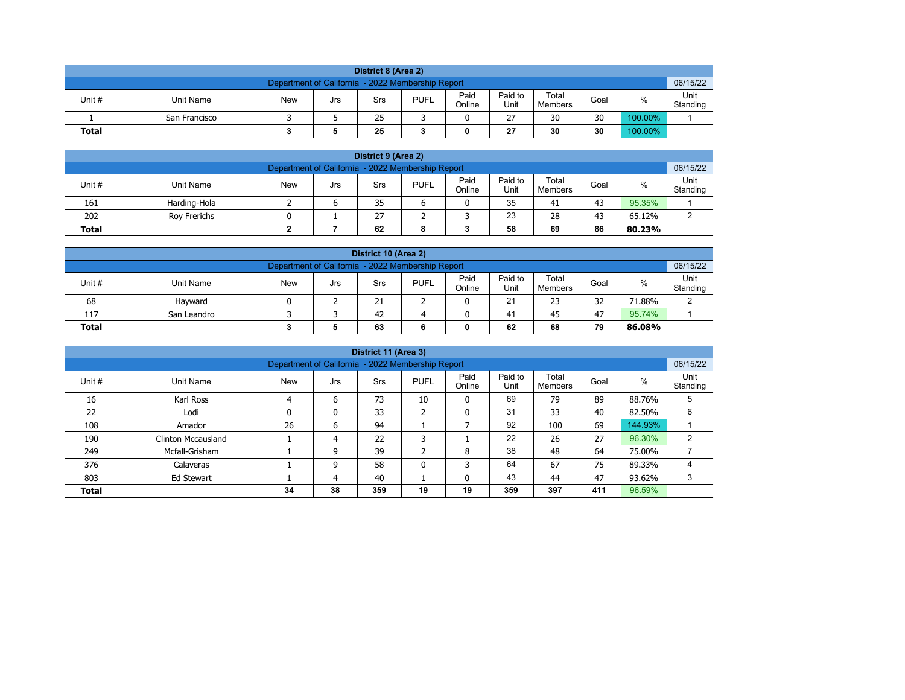| District 8 (Area 2)                                  |                                                                                                                                        |  |  |    |  |  |    |    |    |         |  |  |  |  |
|------------------------------------------------------|----------------------------------------------------------------------------------------------------------------------------------------|--|--|----|--|--|----|----|----|---------|--|--|--|--|
|                                                      | 06/15/22<br>Department of California - 2022 Membership Report                                                                          |  |  |    |  |  |    |    |    |         |  |  |  |  |
| Unit #                                               | Paid<br>Paid to<br>Total<br>%<br><b>PUFL</b><br><b>New</b><br>Unit Name<br>Goal<br>Srs<br>Jrs<br>Online<br>Unit<br>Standing<br>Members |  |  |    |  |  |    |    |    |         |  |  |  |  |
|                                                      | San Francisco                                                                                                                          |  |  | 25 |  |  | 27 | 30 | 30 | 100.00% |  |  |  |  |
| 30<br>25<br>30<br>100.00%<br>27<br><b>Total</b><br>0 |                                                                                                                                        |  |  |    |  |  |    |    |    |         |  |  |  |  |

| District 9 (Area 2)                                                                                                                                     |                                                     |  |  |    |  |  |    |    |    |        |  |  |  |
|---------------------------------------------------------------------------------------------------------------------------------------------------------|-----------------------------------------------------|--|--|----|--|--|----|----|----|--------|--|--|--|
| Department of California - 2022 Membership Report                                                                                                       |                                                     |  |  |    |  |  |    |    |    |        |  |  |  |
| Paid<br>Paid to<br>Total<br>Unit #<br>%<br><b>PUFL</b><br><b>New</b><br><b>Unit Name</b><br>Goal<br>Srs<br>Jrs<br>Online<br>Standing<br>Unit<br>Members |                                                     |  |  |    |  |  |    |    |    |        |  |  |  |
| 161                                                                                                                                                     | Harding-Hola                                        |  |  | 35 |  |  | 35 | 41 | 43 | 95.35% |  |  |  |
| 202                                                                                                                                                     | 23<br>27<br>28<br>43<br>65.12%<br>⌒<br>Rov Frerichs |  |  |    |  |  |    |    |    |        |  |  |  |
| 58<br>62<br>86<br>69<br><b>Total</b><br>80.23%<br>8                                                                                                     |                                                     |  |  |    |  |  |    |    |    |        |  |  |  |

| District 10 (Area 2)                                                                                                                                   |                                               |  |  |    |  |  |    |    |    |        |  |  |  |
|--------------------------------------------------------------------------------------------------------------------------------------------------------|-----------------------------------------------|--|--|----|--|--|----|----|----|--------|--|--|--|
| Department of California - 2022 Membership Report                                                                                                      |                                               |  |  |    |  |  |    |    |    |        |  |  |  |
| Paid<br>Paid to<br>Total<br>Unit#<br>%<br><b>PUFL</b><br><b>New</b><br>Unit Name<br>Goal<br>Srs<br>Jrs<br>Online<br>Standing<br>Unit<br><b>Members</b> |                                               |  |  |    |  |  |    |    |    |        |  |  |  |
| 68                                                                                                                                                     | Havward                                       |  |  | 21 |  |  | 21 | 23 | 32 | 71.88% |  |  |  |
| 117                                                                                                                                                    | 41<br>95.74%<br>42<br>47<br>45<br>San Leandro |  |  |    |  |  |    |    |    |        |  |  |  |
| 79<br>62<br>63<br>68<br><b>Total</b><br>86.08%<br>0                                                                                                    |                                               |  |  |    |  |  |    |    |    |        |  |  |  |

| District 11 (Area 3)                                               |                                                               |            |     |            |                   |                |                 |                  |      |         |                  |  |  |  |  |
|--------------------------------------------------------------------|---------------------------------------------------------------|------------|-----|------------|-------------------|----------------|-----------------|------------------|------|---------|------------------|--|--|--|--|
|                                                                    | 06/15/22<br>Department of California - 2022 Membership Report |            |     |            |                   |                |                 |                  |      |         |                  |  |  |  |  |
| Unit #                                                             | Unit Name                                                     | <b>New</b> | Jrs | <b>Srs</b> | <b>PUFL</b>       | Paid<br>Online | Paid to<br>Unit | Total<br>Members | Goal | $\%$    | Unit<br>Standing |  |  |  |  |
| 16                                                                 | Karl Ross                                                     | 4          | 6   | 73         | 10                | 0              | 69              | 79               | 89   | 88.76%  | 5                |  |  |  |  |
| 22                                                                 | Lodi                                                          | 0          | 0   | 33         | h<br>∠            | 0              | 31              | 33               | 40   | 82.50%  | 6                |  |  |  |  |
| 108                                                                | Amador                                                        | 26         | 6   | 94         |                   |                | 92              | 100              | 69   | 144.93% |                  |  |  |  |  |
| 190                                                                | <b>Clinton Mccausland</b>                                     |            | 4   | 22         | 3                 |                | 22              | 26               | 27   | 96.30%  | 2                |  |  |  |  |
| 249                                                                | Mcfall-Grisham                                                |            | 9   | 39         | $\mathbf{r}$<br>∠ | 8              | 38              | 48               | 64   | 75.00%  |                  |  |  |  |  |
| 376                                                                | Calaveras                                                     |            | 9   | 58         | $\mathbf{0}$      | 3              | 64              | 67               | 75   | 89.33%  |                  |  |  |  |  |
| 43<br>47<br>803<br>40<br>3<br>44<br>93.62%<br>Ed Stewart<br>0<br>4 |                                                               |            |     |            |                   |                |                 |                  |      |         |                  |  |  |  |  |
| <b>Total</b>                                                       |                                                               | 34         | 38  | 359        | 19                | 19             | 359             | 397              | 411  | 96.59%  |                  |  |  |  |  |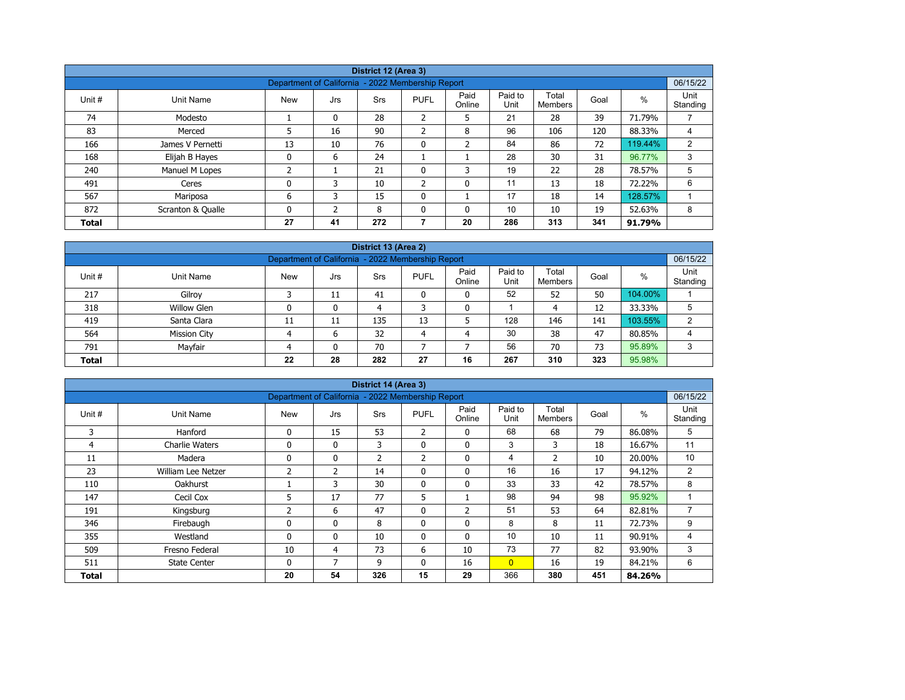| District 12 (Area 3) |                   |                                                   |              |            |                          |                |                 |                  |      |         |                  |  |  |
|----------------------|-------------------|---------------------------------------------------|--------------|------------|--------------------------|----------------|-----------------|------------------|------|---------|------------------|--|--|
|                      |                   |                                                   |              |            |                          |                |                 |                  |      |         |                  |  |  |
|                      |                   | Department of California - 2022 Membership Report |              |            |                          |                |                 |                  |      |         | 06/15/22         |  |  |
| Unit #               | Unit Name         | <b>New</b>                                        | Jrs          | <b>Srs</b> | <b>PUFL</b>              | Paid<br>Online | Paid to<br>Unit | Total<br>Members | Goal | %       | Unit<br>Standing |  |  |
| 74                   | Modesto           |                                                   | 0            | 28         | 2                        | 5              | 21              | 28               | 39   | 71.79%  |                  |  |  |
| 83                   | Merced            | 5                                                 | 16           | 90         | $\overline{\phantom{a}}$ | 8              | 96              | 106              | 120  | 88.33%  | 4                |  |  |
| 166                  | James V Pernetti  | 13                                                | 10           | 76         | $\mathbf{0}$             | $\overline{2}$ | 84              | 86               | 72   | 119.44% | 2                |  |  |
| 168                  | Elijah B Hayes    | 0                                                 | 6            | 24         |                          |                | 28              | 30               | 31   | 96.77%  | 3                |  |  |
| 240                  | Manuel M Lopes    | ำ<br>∠                                            |              | 21         | 0                        | 3              | 19              | 22               | 28   | 78.57%  | 5                |  |  |
| 491                  | Ceres             | 0                                                 | 3            | 10         | $\overline{2}$           | 0              | 11              | 13               | 18   | 72.22%  | 6                |  |  |
| 567                  | Mariposa          | 6                                                 | 3            | 15         | $\mathbf{0}$             |                | 17              | 18               | 14   | 128.57% |                  |  |  |
| 872                  | Scranton & Qualle | 0                                                 | <sup>-</sup> | 8          | $\Omega$                 | 0              | 10              | 10               | 19   | 52.63%  | 8                |  |  |
| <b>Total</b>         |                   | 27                                                | 41           | 272        |                          | 20             | 286             | 313              | 341  | 91.79%  |                  |  |  |

| District 13 (Area 2)                                                                                                                   |                                                               |    |              |     |    |    |     |     |     |         |   |  |  |  |  |
|----------------------------------------------------------------------------------------------------------------------------------------|---------------------------------------------------------------|----|--------------|-----|----|----|-----|-----|-----|---------|---|--|--|--|--|
|                                                                                                                                        | 06/15/22<br>Department of California - 2022 Membership Report |    |              |     |    |    |     |     |     |         |   |  |  |  |  |
| Paid<br>Paid to<br>Total<br>$\%$<br>Unit#<br><b>New</b><br><b>PUFL</b><br>Unit Name<br>Goal<br>Srs<br>Jrs<br>Online<br>Unit<br>Members |                                                               |    |              |     |    |    |     |     |     |         |   |  |  |  |  |
| 217                                                                                                                                    | Gilroy                                                        |    | 11           | 41  |    | 0  | 52  | 52  | 50  | 104.00% |   |  |  |  |  |
| 318                                                                                                                                    | <b>Willow Glen</b>                                            |    | 0            | 4   |    | 0  |     | 4   | 12  | 33.33%  | 5 |  |  |  |  |
| 419                                                                                                                                    | Santa Clara                                                   | 11 | 11           | 135 | 13 |    | 128 | 146 | 141 | 103.55% | 2 |  |  |  |  |
| 564                                                                                                                                    | <b>Mission City</b>                                           | Δ  | 6            | 32  | 4  | 4  | 30  | 38  | 47  | 80.85%  | 4 |  |  |  |  |
| 791                                                                                                                                    | Mayfair                                                       |    | $\mathbf{0}$ | 70  |    |    | 56  | 70  | 73  | 95.89%  | 3 |  |  |  |  |
| <b>Total</b>                                                                                                                           |                                                               | 22 | 28           | 282 | 27 | 16 | 267 | 310 | 323 | 95.98%  |   |  |  |  |  |

| District 14 (Area 3) |                       |                                                   |              |                |              |                |                 |                         |      |        |                  |  |  |
|----------------------|-----------------------|---------------------------------------------------|--------------|----------------|--------------|----------------|-----------------|-------------------------|------|--------|------------------|--|--|
|                      |                       | Department of California - 2022 Membership Report |              |                |              |                |                 |                         |      |        | 06/15/22         |  |  |
| Unit #               | Unit Name             | <b>New</b>                                        | Jrs          | Srs            | <b>PUFL</b>  | Paid<br>Online | Paid to<br>Unit | Total<br><b>Members</b> | Goal | %      | Unit<br>Standing |  |  |
| 3                    | Hanford               | 0                                                 | 15           | 53             | 2            | $\mathbf{0}$   | 68              | 68                      | 79   | 86.08% | 5                |  |  |
| 4                    | <b>Charlie Waters</b> | 0                                                 | $\mathbf{0}$ | 3              | $\mathbf{0}$ | $\mathbf{0}$   | 3               | 3                       | 18   | 16.67% | 11               |  |  |
| 11                   | Madera                | 0                                                 | 0            | $\overline{2}$ | 2            | 0              | 4               | $\overline{2}$          | 10   | 20.00% | 10               |  |  |
| 23                   | William Lee Netzer    | 2                                                 | 2            | 14             | $\mathbf{0}$ | $\mathbf{0}$   | 16              | 16                      | 17   | 94.12% | 2                |  |  |
| 110                  | <b>Oakhurst</b>       |                                                   | 3            | 30             | 0            | 0              | 33              | 33                      | 42   | 78.57% | 8                |  |  |
| 147                  | Cecil Cox             | 5                                                 | 17           | 77             | 5            |                | 98              | 94                      | 98   | 95.92% |                  |  |  |
| 191                  | Kingsburg             | 2                                                 | 6            | 47             | $\mathbf{0}$ | $\overline{2}$ | 51              | 53                      | 64   | 82.81% | 7                |  |  |
| 346                  | Firebaugh             | 0                                                 | $\mathbf{0}$ | 8              | 0            | 0              | 8               | 8                       | 11   | 72.73% | 9                |  |  |
| 355                  | Westland              | $\mathbf{0}$                                      | $\mathbf{0}$ | 10             | $\mathbf{0}$ | $\mathbf{0}$   | 10 <sup>1</sup> | 10                      | 11   | 90.91% | 4                |  |  |
| 509                  | Fresno Federal        | 10                                                | 4            | 73             | 6            | 10             | 73              | 77                      | 82   | 93.90% | 3                |  |  |
| 511                  | <b>State Center</b>   | 0                                                 | 7            | 9              | $\mathbf{0}$ | 16             | $\overline{0}$  | 16                      | 19   | 84.21% | 6                |  |  |
| Total                |                       | 20                                                | 54           | 326            | 15           | 29             | 366             | 380                     | 451  | 84.26% |                  |  |  |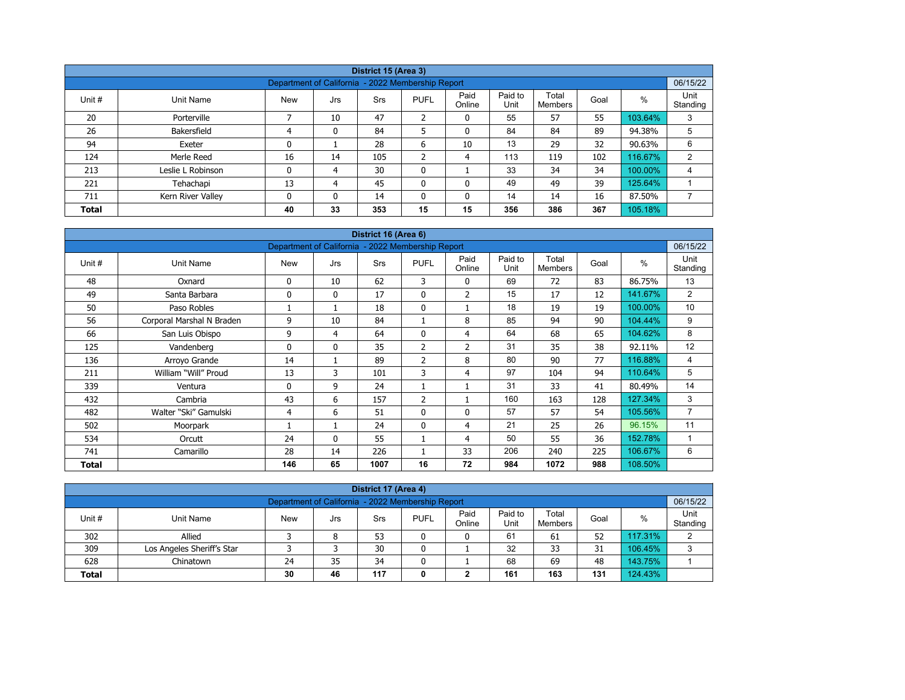| District 15 (Area 3)                                                           |                                                                                                                                                  |                                                   |    |     |                |              |     |     |     |         |          |  |  |  |  |
|--------------------------------------------------------------------------------|--------------------------------------------------------------------------------------------------------------------------------------------------|---------------------------------------------------|----|-----|----------------|--------------|-----|-----|-----|---------|----------|--|--|--|--|
|                                                                                |                                                                                                                                                  | Department of California - 2022 Membership Report |    |     |                |              |     |     |     |         | 06/15/22 |  |  |  |  |
| Unit #                                                                         | Paid<br>Paid to<br>Total<br>$\%$<br>Unit Name<br>Srs<br><b>PUFL</b><br>Goal<br><b>New</b><br>Jrs<br>Unit<br>Online<br>Standing<br><b>Members</b> |                                                   |    |     |                |              |     |     |     |         |          |  |  |  |  |
| 20                                                                             | Porterville                                                                                                                                      |                                                   | 10 | 47  | $\overline{2}$ | 0            | 55  | 57  | 55  | 103.64% | 3        |  |  |  |  |
| 26                                                                             | Bakersfield                                                                                                                                      | 4                                                 | 0  | 84  | 5              | $\mathbf{0}$ | 84  | 84  | 89  | 94.38%  | 5        |  |  |  |  |
| 94                                                                             | Exeter                                                                                                                                           | 0                                                 |    | 28  | 6              | 10           | 13  | 29  | 32  | 90.63%  | 6        |  |  |  |  |
| 124                                                                            | Merle Reed                                                                                                                                       | 16                                                | 14 | 105 | C.<br>∠        | 4            | 113 | 119 | 102 | 116.67% | 2        |  |  |  |  |
| 213                                                                            | Leslie L Robinson                                                                                                                                | 0                                                 | 4  | 30  | $\mathbf{0}$   |              | 33  | 34  | 34  | 100.00% | 4        |  |  |  |  |
| 221                                                                            | Tehachapi                                                                                                                                        | 13                                                | 4  | 45  | 0              | 0            | 49  | 49  | 39  | 125.64% |          |  |  |  |  |
| 16<br>14<br>87.50%<br>711<br>0<br>0<br>14<br>0<br>0<br>14<br>Kern River Valley |                                                                                                                                                  |                                                   |    |     |                |              |     |     |     |         |          |  |  |  |  |
| <b>Total</b>                                                                   |                                                                                                                                                  | 40                                                | 33 | 353 | 15             | 15           | 356 | 386 | 367 | 105.18% |          |  |  |  |  |

| District 16 (Area 6) |                           |                                                   |              |      |                |                |                 |                         |      |         |                  |  |  |
|----------------------|---------------------------|---------------------------------------------------|--------------|------|----------------|----------------|-----------------|-------------------------|------|---------|------------------|--|--|
|                      |                           | Department of California - 2022 Membership Report |              |      |                |                |                 |                         |      |         | 06/15/22         |  |  |
| Unit #               | Unit Name                 | <b>New</b>                                        | Jrs          | Srs  | <b>PUFL</b>    | Paid<br>Online | Paid to<br>Unit | Total<br><b>Members</b> | Goal | %       | Unit<br>Standing |  |  |
| 48                   | Oxnard                    | 0                                                 | 10           | 62   | 3              | 0              | 69              | 72                      | 83   | 86.75%  | 13               |  |  |
| 49                   | Santa Barbara             | 0                                                 | $\mathbf{0}$ | 17   | $\mathbf{0}$   | $\overline{2}$ | 15              | 17                      | 12   | 141.67% | 2                |  |  |
| 50                   | Paso Robles               |                                                   | 1            | 18   | $\mathbf 0$    |                | 18              | 19                      | 19   | 100.00% | 10               |  |  |
| 56                   | Corporal Marshal N Braden | 9                                                 | 10           | 84   |                | 8              | 85              | 94                      | 90   | 104.44% | 9                |  |  |
| 66                   | San Luis Obispo           | 9                                                 | 4            | 64   | $\mathbf{0}$   | 4              | 64              | 68                      | 65   | 104.62% | 8                |  |  |
| 125                  | Vandenberg                | 0                                                 | $\mathbf{0}$ | 35   | 2              | $\overline{2}$ | 31              | 35                      | 38   | 92.11%  | 12               |  |  |
| 136                  | Arroyo Grande             | 14                                                | 1            | 89   | $\overline{2}$ | 8              | 80              | 90                      | 77   | 116.88% | 4                |  |  |
| 211                  | William "Will" Proud      | 13                                                | 3            | 101  | 3              | 4              | 97              | 104                     | 94   | 110.64% | 5                |  |  |
| 339                  | Ventura                   | 0                                                 | 9            | 24   |                |                | 31              | 33                      | 41   | 80.49%  | 14               |  |  |
| 432                  | Cambria                   | 43                                                | 6            | 157  | $\overline{2}$ |                | 160             | 163                     | 128  | 127.34% | 3                |  |  |
| 482                  | Walter "Ski" Gamulski     | 4                                                 | 6            | 51   | $\mathbf{0}$   | $\Omega$       | 57              | 57                      | 54   | 105.56% | $\overline{7}$   |  |  |
| 502                  | Moorpark                  |                                                   | 1            | 24   | $\mathbf{0}$   | $\overline{4}$ | 21              | 25                      | 26   | 96.15%  | 11               |  |  |
| 534                  | Orcutt                    | 24                                                | $\mathbf{0}$ | 55   |                | 4              | 50              | 55                      | 36   | 152.78% | 1                |  |  |
| 741                  | Camarillo                 | 28                                                | 14           | 226  |                | 33             | 206             | 240                     | 225  | 106.67% | 6                |  |  |
| <b>Total</b>         |                           | 146                                               | 65           | 1007 | 16             | 72             | 984             | 1072                    | 988  | 108.50% |                  |  |  |

| District 17 (Area 4)                                                                                                                             |                            |    |    |    |  |   |    |    |    |         |   |  |  |  |
|--------------------------------------------------------------------------------------------------------------------------------------------------|----------------------------|----|----|----|--|---|----|----|----|---------|---|--|--|--|
| 06/15/22<br>Department of California - 2022 Membership Report                                                                                    |                            |    |    |    |  |   |    |    |    |         |   |  |  |  |
| Paid to<br>Paid<br>Total<br><b>PUFL</b><br>Unit #<br><b>New</b><br>%<br>Goal<br>Unit Name<br>Srs<br>Jrs<br>Unit<br>Standing<br>Online<br>Members |                            |    |    |    |  |   |    |    |    |         |   |  |  |  |
| 302                                                                                                                                              | Allied                     |    | 8  | 53 |  | 0 | 61 | 61 | 52 | 117.31% | າ |  |  |  |
| 309                                                                                                                                              | Los Angeles Sheriff's Star |    |    | 30 |  |   | 32 | 33 | 31 | 106.45% | 3 |  |  |  |
| 628                                                                                                                                              | Chinatown                  | 24 | 35 | 34 |  |   | 68 | 69 | 48 | 143.75% |   |  |  |  |
| 161<br>117<br>163<br>124.43%<br>131<br>30<br>46<br><b>Total</b><br>◠<br>0<br>∠                                                                   |                            |    |    |    |  |   |    |    |    |         |   |  |  |  |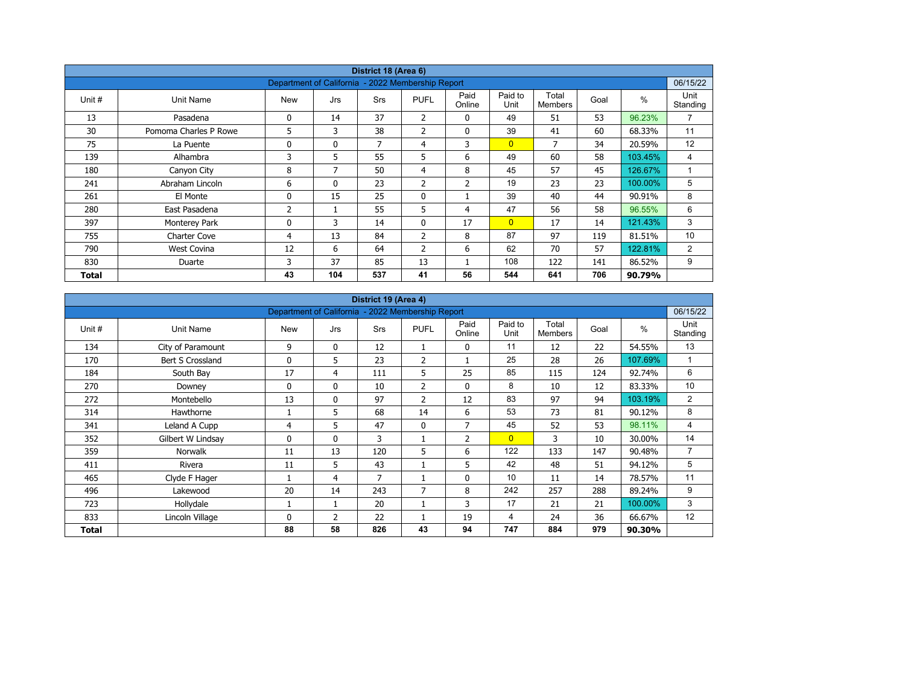| District 18 (Area 6) |                       |                                                   |              |            |                |                |                 |                         |      |         |                  |  |  |
|----------------------|-----------------------|---------------------------------------------------|--------------|------------|----------------|----------------|-----------------|-------------------------|------|---------|------------------|--|--|
|                      |                       | Department of California - 2022 Membership Report |              |            |                |                |                 |                         |      |         | 06/15/22         |  |  |
| Unit #               | Unit Name             | <b>New</b>                                        | Jrs          | <b>Srs</b> | <b>PUFL</b>    | Paid<br>Online | Paid to<br>Unit | Total<br><b>Members</b> | Goal | $\%$    | Unit<br>Standing |  |  |
| 13                   | Pasadena              | 0                                                 | 14           | 37         | $\overline{2}$ | $\mathbf{0}$   | 49              | 51                      | 53   | 96.23%  | $\overline{7}$   |  |  |
| 30                   | Pomoma Charles P Rowe | 5                                                 | 3            | 38         | $\overline{2}$ | 0              | 39              | 41                      | 60   | 68.33%  | 11               |  |  |
| 75                   | La Puente             | 0                                                 | $\mathbf{0}$ | 7          | 4              | 3              | $\overline{0}$  | 7                       | 34   | 20.59%  | 12               |  |  |
| 139                  | Alhambra              | 3                                                 | 5            | 55         | 5              | 6              | 49              | 60                      | 58   | 103.45% | 4                |  |  |
| 180                  | Canyon City           | 8                                                 | 7            | 50         | $\overline{4}$ | 8              | 45              | 57                      | 45   | 126.67% | $\overline{A}$   |  |  |
| 241                  | Abraham Lincoln       | 6                                                 | $\mathbf{0}$ | 23         | $\overline{2}$ | $\overline{2}$ | 19              | 23                      | 23   | 100.00% | 5                |  |  |
| 261                  | El Monte              | 0                                                 | 15           | 25         | $\mathbf 0$    |                | 39              | 40                      | 44   | 90.91%  | 8                |  |  |
| 280                  | East Pasadena         | 2                                                 |              | 55         | 5              | 4              | 47              | 56                      | 58   | 96.55%  | 6                |  |  |
| 397                  | Monterey Park         | 0                                                 | 3            | 14         | $\mathbf{0}$   | 17             | $\overline{0}$  | 17                      | 14   | 121.43% | 3                |  |  |
| 755                  | <b>Charter Cove</b>   | 4                                                 | 13           | 84         | $\overline{2}$ | 8              | 87              | 97                      | 119  | 81.51%  | 10               |  |  |
| 790                  | <b>West Covina</b>    | 12                                                | 6            | 64         | $\overline{2}$ | 6              | 62              | 70                      | 57   | 122.81% | 2                |  |  |
| 830                  | Duarte                | 3                                                 | 37           | 85         | 13             |                | 108             | 122                     | 141  | 86.52%  | 9                |  |  |
| Total                |                       | 43                                                | 104          | 537        | 41             | 56             | 544             | 641                     | 706  | 90.79%  |                  |  |  |

| District 19 (Area 4) |                   |                                                   |                |            |                |                |                 |                         |      |         |                  |  |  |
|----------------------|-------------------|---------------------------------------------------|----------------|------------|----------------|----------------|-----------------|-------------------------|------|---------|------------------|--|--|
|                      |                   | Department of California - 2022 Membership Report |                |            |                |                |                 |                         |      |         | 06/15/22         |  |  |
| Unit #               | Unit Name         | <b>New</b>                                        | Jrs            | <b>Srs</b> | <b>PUFL</b>    | Paid<br>Online | Paid to<br>Unit | Total<br><b>Members</b> | Goal | $\%$    | Unit<br>Standing |  |  |
| 134                  | City of Paramount | 9                                                 | $\mathbf 0$    | 12         | 1              | 0              | 11              | 12                      | 22   | 54.55%  | 13               |  |  |
| 170                  | Bert S Crossland  | $\Omega$                                          | 5              | 23         | $\overline{2}$ |                | 25              | 28                      | 26   | 107.69% | $\mathbf{1}$     |  |  |
| 184                  | South Bay         | 17                                                | 4              | 111        | 5              | 25             | 85              | 115                     | 124  | 92.74%  | 6                |  |  |
| 270                  | Downey            | 0                                                 | $\mathbf{0}$   | 10         | $\overline{2}$ | 0              | 8               | 10                      | 12   | 83.33%  | 10               |  |  |
| 272                  | Montebello        | 13                                                | $\mathbf{0}$   | 97         | $\overline{2}$ | 12             | 83              | 97                      | 94   | 103.19% | $\overline{2}$   |  |  |
| 314                  | Hawthorne         |                                                   | 5              | 68         | 14             | 6              | 53              | 73                      | 81   | 90.12%  | 8                |  |  |
| 341                  | Leland A Cupp     | 4                                                 | 5              | 47         | $\mathbf{0}$   | $\overline{7}$ | 45              | 52                      | 53   | 98.11%  | 4                |  |  |
| 352                  | Gilbert W Lindsay | 0                                                 | $\mathbf{0}$   | 3          |                | 2              | $\overline{0}$  | 3                       | 10   | 30.00%  | 14               |  |  |
| 359                  | <b>Norwalk</b>    | 11                                                | 13             | 120        | 5              | 6              | 122             | 133                     | 147  | 90.48%  | $\overline{7}$   |  |  |
| 411                  | Rivera            | 11                                                | 5              | 43         |                | 5              | 42              | 48                      | 51   | 94.12%  | 5                |  |  |
| 465                  | Clyde F Hager     |                                                   | 4              | 7          |                | $\mathbf 0$    | 10              | 11                      | 14   | 78.57%  | 11               |  |  |
| 496                  | Lakewood          | 20                                                | 14             | 243        | $\overline{7}$ | 8              | 242             | 257                     | 288  | 89.24%  | 9                |  |  |
| 723                  | Hollydale         |                                                   | 1              | 20         |                | 3              | 17              | 21                      | 21   | 100.00% | 3                |  |  |
| 833                  | Lincoln Village   | 0                                                 | $\overline{2}$ | 22         |                | 19             | $\overline{4}$  | 24                      | 36   | 66.67%  | 12               |  |  |
| Total                |                   | 88                                                | 58             | 826        | 43             | 94             | 747             | 884                     | 979  | 90.30%  |                  |  |  |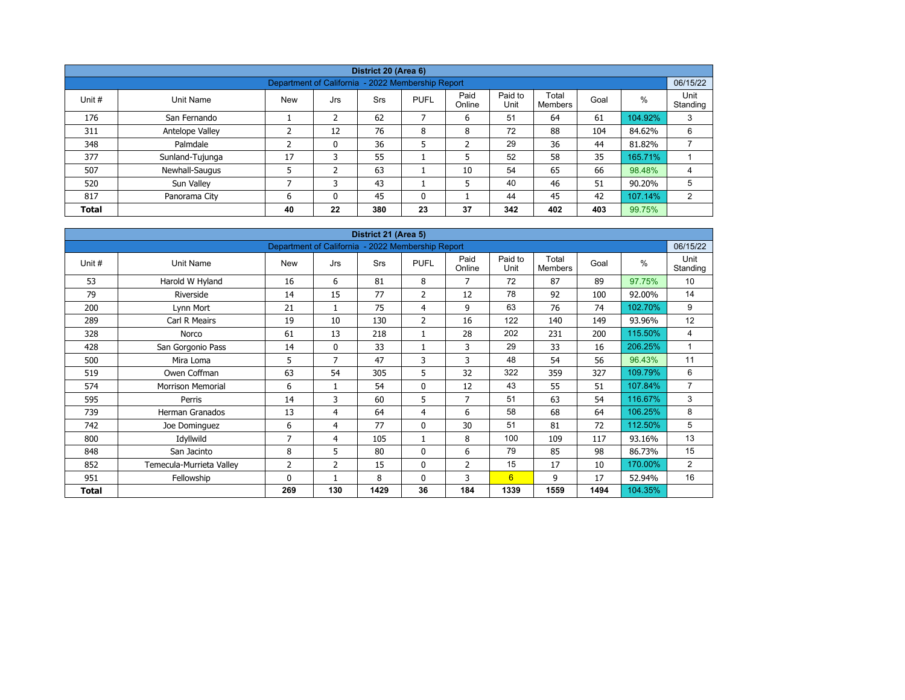| District 20 (Area 6) |                 |                                                   |     |            |              |                |                 |                  |      |         |                  |  |  |  |
|----------------------|-----------------|---------------------------------------------------|-----|------------|--------------|----------------|-----------------|------------------|------|---------|------------------|--|--|--|
|                      |                 | Department of California - 2022 Membership Report |     |            |              |                |                 |                  |      |         | 06/15/22         |  |  |  |
| Unit #               | Unit Name       | <b>New</b>                                        | Jrs | <b>Srs</b> | <b>PUFL</b>  | Paid<br>Online | Paid to<br>Unit | Total<br>Members | Goal | %       | Unit<br>Standing |  |  |  |
| 176                  | San Fernando    |                                                   | 2   | 62         | 7            | 6              | 51              | 64               | 61   | 104.92% | 3                |  |  |  |
| 311                  | Antelope Valley | ∍                                                 | 12  | 76         | 8            | 8              | 72              | 88               | 104  | 84.62%  | 6                |  |  |  |
| 348                  | Palmdale        | h                                                 | 0   | 36         | 5            | $\overline{2}$ | 29              | 36               | 44   | 81.82%  |                  |  |  |  |
| 377                  | Sunland-Tujunga | 17                                                | 3   | 55         |              | 5              | 52              | 58               | 35   | 165.71% |                  |  |  |  |
| 507                  | Newhall-Saugus  |                                                   | 2   | 63         |              | 10             | 54              | 65               | 66   | 98.48%  | 4                |  |  |  |
| 520                  | Sun Valley      | ⇁                                                 |     | 43         |              | 5              | 40              | 46               | 51   | 90.20%  | 5                |  |  |  |
| 817                  | Panorama City   | 6                                                 | 0   | 45         | $\mathbf{0}$ |                | 44              | 45               | 42   | 107.14% | 2                |  |  |  |
| <b>Total</b>         |                 | 40                                                | 22  | 380        | 23           | 37             | 342             | 402              | 403  | 99.75%  |                  |  |  |  |

| District 21 (Area 5) |                          |                                                   |              |            |                |                |                 |                         |      |         |                  |  |  |
|----------------------|--------------------------|---------------------------------------------------|--------------|------------|----------------|----------------|-----------------|-------------------------|------|---------|------------------|--|--|
|                      |                          | Department of California - 2022 Membership Report |              |            |                |                |                 |                         |      |         | 06/15/22         |  |  |
| Unit #               | Unit Name                | <b>New</b>                                        | Jrs          | <b>Srs</b> | <b>PUFL</b>    | Paid<br>Online | Paid to<br>Unit | Total<br><b>Members</b> | Goal | $\%$    | Unit<br>Standing |  |  |
| 53                   | Harold W Hyland          | 16                                                | 6            | 81         | 8              | $\overline{7}$ | 72              | 87                      | 89   | 97.75%  | 10               |  |  |
| 79                   | Riverside                | 14                                                | 15           | 77         | 2              | 12             | 78              | 92                      | 100  | 92.00%  | 14               |  |  |
| 200                  | Lynn Mort                | 21                                                | 1            | 75         | 4              | 9              | 63              | 76                      | 74   | 102.70% | 9                |  |  |
| 289                  | Carl R Meairs            | 19                                                | 10           | 130        | $\overline{2}$ | 16             | 122             | 140                     | 149  | 93.96%  | 12               |  |  |
| 328                  | Norco                    | 61                                                | 13           | 218        | $\mathbf{1}$   | 28             | 202             | 231                     | 200  | 115.50% | 4                |  |  |
| 428                  | San Gorgonio Pass        | 14                                                | $\mathbf{0}$ | 33         |                | 3              | 29              | 33                      | 16   | 206.25% | 1                |  |  |
| 500                  | Mira Loma                | 5                                                 | 7            | 47         | 3              | 3              | 48              | 54                      | 56   | 96.43%  | 11               |  |  |
| 519                  | Owen Coffman             | 63                                                | 54           | 305        | 5              | 32             | 322             | 359                     | 327  | 109.79% | 6                |  |  |
| 574                  | <b>Morrison Memorial</b> | 6                                                 | 1            | 54         | 0              | 12             | 43              | 55                      | 51   | 107.84% | $\overline{7}$   |  |  |
| 595                  | Perris                   | 14                                                | 3            | 60         | 5              | $\overline{7}$ | 51              | 63                      | 54   | 116.67% | 3                |  |  |
| 739                  | <b>Herman Granados</b>   | 13                                                | 4            | 64         | 4              | 6              | 58              | 68                      | 64   | 106.25% | 8                |  |  |
| 742                  | Joe Dominguez            | 6                                                 | 4            | 77         | $\mathbf 0$    | 30             | 51              | 81                      | 72   | 112.50% | 5                |  |  |
| 800                  | Idyllwild                | 7                                                 | 4            | 105        | 1              | 8              | 100             | 109                     | 117  | 93.16%  | 13               |  |  |
| 848                  | San Jacinto              | 8                                                 | 5            | 80         | $\mathbf{0}$   | 6              | 79              | 85                      | 98   | 86.73%  | 15               |  |  |
| 852                  | Temecula-Murrieta Valley | 2                                                 | 2            | 15         | 0              | $\overline{2}$ | 15              | 17                      | 10   | 170.00% | $\overline{2}$   |  |  |
| 951                  | Fellowship               | 0                                                 | 1            | 8          | $\mathbf{0}$   | 3              | 6               | 9                       | 17   | 52.94%  | 16               |  |  |
| <b>Total</b>         |                          | 269                                               | 130          | 1429       | 36             | 184            | 1339            | 1559                    | 1494 | 104.35% |                  |  |  |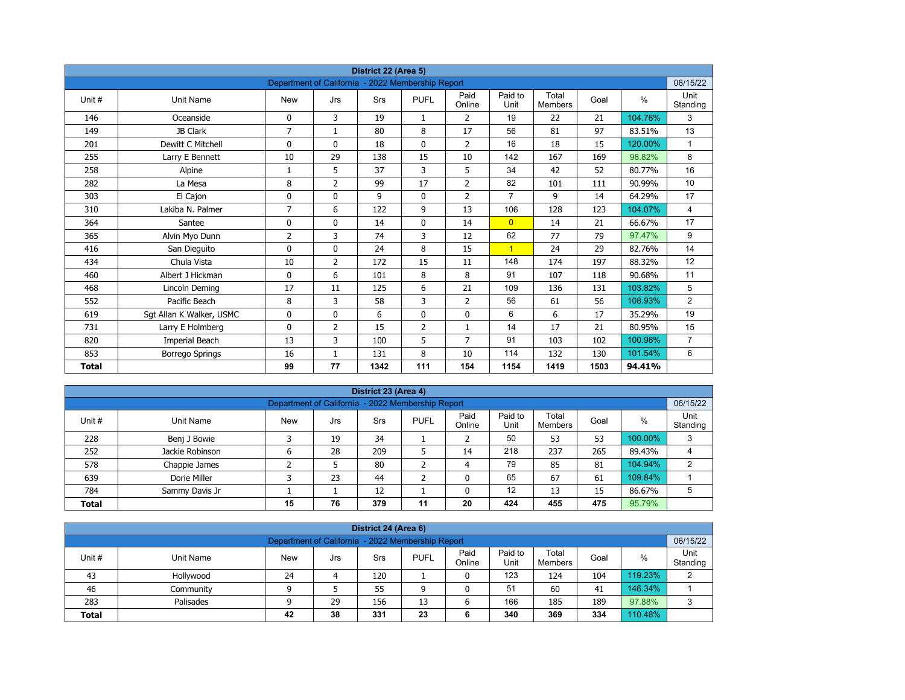| District 22 (Area 5) |                          |                                                   |                |      |                |                |                 |                         |      |               |                  |  |  |
|----------------------|--------------------------|---------------------------------------------------|----------------|------|----------------|----------------|-----------------|-------------------------|------|---------------|------------------|--|--|
|                      |                          | Department of California - 2022 Membership Report |                |      |                |                |                 |                         |      |               | 06/15/22         |  |  |
| Unit#                | <b>Unit Name</b>         | <b>New</b>                                        | Jrs            | Srs  | <b>PUFL</b>    | Paid<br>Online | Paid to<br>Unit | Total<br><b>Members</b> | Goal | $\frac{0}{0}$ | Unit<br>Standing |  |  |
| 146                  | Oceanside                | 0                                                 | 3              | 19   | 1              | $\overline{2}$ | 19              | 22                      | 21   | 104.76%       | 3                |  |  |
| 149                  | JB Clark                 | $\overline{7}$                                    | $\mathbf{1}$   | 80   | 8              | 17             | 56              | 81                      | 97   | 83.51%        | 13               |  |  |
| 201                  | Dewitt C Mitchell        | 0                                                 | $\mathbf{0}$   | 18   | $\mathbf{0}$   | $\overline{2}$ | 16              | 18                      | 15   | 120.00%       | $\mathbf{1}$     |  |  |
| 255                  | Larry E Bennett          | 10                                                | 29             | 138  | 15             | 10             | 142             | 167                     | 169  | 98.82%        | 8                |  |  |
| 258                  | Alpine                   | 1                                                 | 5              | 37   | 3              | 5              | 34              | 42                      | 52   | 80.77%        | 16               |  |  |
| 282                  | La Mesa                  | 8                                                 | $\overline{2}$ | 99   | 17             | $\overline{2}$ | 82              | 101                     | 111  | 90.99%        | 10               |  |  |
| 303                  | El Cajon                 | 0                                                 | $\mathbf 0$    | 9    | $\mathbf{0}$   | $\overline{2}$ | $\overline{7}$  | 9                       | 14   | 64.29%        | 17               |  |  |
| 310                  | Lakiba N. Palmer         | 7                                                 | 6              | 122  | 9              | 13             | 106             | 128                     | 123  | 104.07%       | 4                |  |  |
| 364                  | Santee                   | 0                                                 | $\mathbf{0}$   | 14   | $\mathbf{0}$   | 14             | $\overline{0}$  | 14                      | 21   | 66.67%        | 17               |  |  |
| 365                  | Alvin Myo Dunn           | 2                                                 | 3              | 74   | 3              | 12             | 62              | 77                      | 79   | 97.47%        | 9                |  |  |
| 416                  | San Dieguito             | 0                                                 | $\mathbf{0}$   | 24   | 8              | 15             | $\mathbf{1}$    | 24                      | 29   | 82.76%        | 14               |  |  |
| 434                  | Chula Vista              | 10                                                | $\overline{2}$ | 172  | 15             | 11             | 148             | 174                     | 197  | 88.32%        | 12               |  |  |
| 460                  | Albert J Hickman         | 0                                                 | 6              | 101  | 8              | 8              | 91              | 107                     | 118  | 90.68%        | 11               |  |  |
| 468                  | Lincoln Deming           | 17                                                | 11             | 125  | 6              | 21             | 109             | 136                     | 131  | 103.82%       | 5                |  |  |
| 552                  | Pacific Beach            | 8                                                 | 3              | 58   | 3              | $\overline{2}$ | 56              | 61                      | 56   | 108.93%       | 2                |  |  |
| 619                  | Sgt Allan K Walker, USMC | 0                                                 | $\mathbf 0$    | 6    | 0              | $\mathbf 0$    | 6               | 6                       | 17   | 35.29%        | 19               |  |  |
| 731                  | Larry E Holmberg         | 0                                                 | $\overline{2}$ | 15   | $\overline{2}$ | $\mathbf{1}$   | 14              | 17                      | 21   | 80.95%        | 15               |  |  |
| 820                  | Imperial Beach           | 13                                                | 3              | 100  | 5              | 7              | 91              | 103                     | 102  | 100.98%       | $\overline{7}$   |  |  |
| 853                  | Borrego Springs          | 16                                                | $\mathbf{1}$   | 131  | 8              | 10             | 114             | 132                     | 130  | 101.54%       | 6                |  |  |
| <b>Total</b>         |                          | 99                                                | 77             | 1342 | 111            | 154            | 1154            | 1419                    | 1503 | 94.41%        |                  |  |  |

| District 23 (Area 4)                                                                                                                                   |                 |   |    |     |   |    |     |     |     |         |   |  |  |
|--------------------------------------------------------------------------------------------------------------------------------------------------------|-----------------|---|----|-----|---|----|-----|-----|-----|---------|---|--|--|
| Department of California - 2022 Membership Report                                                                                                      |                 |   |    |     |   |    |     |     |     |         |   |  |  |
| Paid<br>Paid to<br>Total<br><b>PUFL</b><br>%<br>Unit#<br>Goal<br>Unit Name<br><b>New</b><br>Srs<br>Jrs<br>Standing<br>Unit<br>Online<br><b>Members</b> |                 |   |    |     |   |    |     |     |     |         |   |  |  |
| 228                                                                                                                                                    | Benj J Bowie    |   | 19 | 34  |   |    | 50  | 53  | 53  | 100.00% | 3 |  |  |
| 252                                                                                                                                                    | Jackie Robinson | 6 | 28 | 209 | ь | 14 | 218 | 237 | 265 | 89.43%  | 4 |  |  |
| 578                                                                                                                                                    | Chappie James   |   |    | 80  | ∍ | 4  | 79  | 85  | 81  | 104.94% | 2 |  |  |
| 639                                                                                                                                                    | Dorie Miller    |   | 23 | 44  | ╮ |    | 65  | 67  | 61  | 109.84% |   |  |  |
| 12<br>12<br>13<br>86.67%<br>784<br>15<br>Sammy Davis Jr                                                                                                |                 |   |    |     |   |    |     |     |     |         |   |  |  |
| 76<br>379<br>475<br>95.79%<br>20<br>424<br>455<br>15<br>11<br><b>Total</b>                                                                             |                 |   |    |     |   |    |     |     |     |         |   |  |  |

| District 24 (Area 6)                                                                                                                             |           |    |    |     |    |   |     |     |     |         |   |  |  |  |  |
|--------------------------------------------------------------------------------------------------------------------------------------------------|-----------|----|----|-----|----|---|-----|-----|-----|---------|---|--|--|--|--|
|                                                                                                                                                  |           |    |    |     |    |   |     |     |     |         |   |  |  |  |  |
| Department of California - 2022 Membership Report<br>06/15/22                                                                                    |           |    |    |     |    |   |     |     |     |         |   |  |  |  |  |
| Paid<br>Paid to<br>Total<br><b>PUFL</b><br>Unit #<br>%<br>Goal<br>Unit Name<br><b>Srs</b><br>New<br>Jrs<br>Standing<br>Unit<br>Online<br>Members |           |    |    |     |    |   |     |     |     |         |   |  |  |  |  |
| 43                                                                                                                                               | Hollywood | 24 |    | 120 |    |   | 123 | 124 | 104 | 119.23% | 2 |  |  |  |  |
| 46                                                                                                                                               | Communitv | ۵  |    | 55  | a  |   | 51  | 60  | 41  | 146.34% |   |  |  |  |  |
| 283                                                                                                                                              | Palisades |    | 29 | 156 | 13 | 6 | 166 | 185 | 189 | 97.88%  | 3 |  |  |  |  |
| 38<br>110.48%<br>331<br>340<br>369<br>23<br>334<br>42<br><b>Total</b><br>6                                                                       |           |    |    |     |    |   |     |     |     |         |   |  |  |  |  |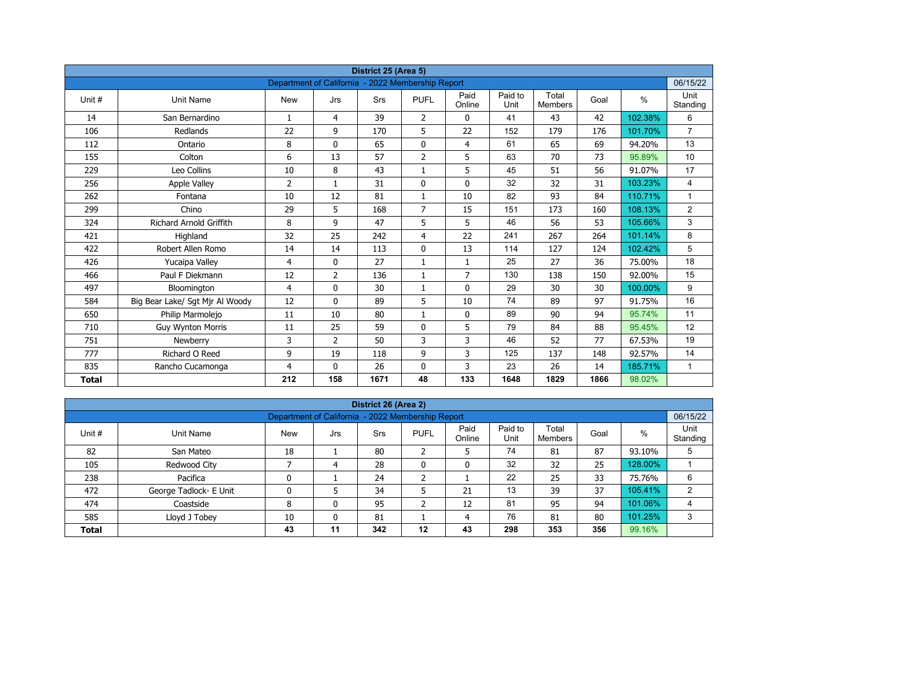| District 25 (Area 5) |                                 |                                                   |                |            |                |                |                 |                         |      |         |                  |  |  |
|----------------------|---------------------------------|---------------------------------------------------|----------------|------------|----------------|----------------|-----------------|-------------------------|------|---------|------------------|--|--|
|                      |                                 | Department of California - 2022 Membership Report |                |            |                |                |                 |                         |      |         | 06/15/22         |  |  |
| Unit#                | <b>Unit Name</b>                | <b>New</b>                                        | Jrs            | <b>Srs</b> | <b>PUFL</b>    | Paid<br>Online | Paid to<br>Unit | Total<br><b>Members</b> | Goal | $\%$    | Unit<br>Standing |  |  |
| 14                   | San Bernardino                  | $\mathbf{1}$                                      | 4              | 39         | $\overline{2}$ | $\mathbf{0}$   | 41              | 43                      | 42   | 102.38% | 6                |  |  |
| 106                  | Redlands                        | 22                                                | 9              | 170        | 5              | 22             | 152             | 179                     | 176  | 101.70% | $\overline{7}$   |  |  |
| 112                  | Ontario                         | 8                                                 | $\Omega$       | 65         | $\mathbf 0$    | $\overline{4}$ | 61              | 65                      | 69   | 94.20%  | 13               |  |  |
| 155                  | Colton                          | 6                                                 | 13             | 57         | $\overline{2}$ | 5              | 63              | 70                      | 73   | 95.89%  | 10               |  |  |
| 229                  | Leo Collins                     | 10                                                | 8              | 43         | $\mathbf{1}$   | 5              | 45              | 51                      | 56   | 91.07%  | 17               |  |  |
| 256                  | <b>Apple Valley</b>             | 2                                                 | $\mathbf{1}$   | 31         | $\mathbf{0}$   | $\mathbf{0}$   | 32              | 32                      | 31   | 103.23% | $\overline{4}$   |  |  |
| 262                  | Fontana                         | 10                                                | 12             | 81         | $\mathbf{1}$   | 10             | 82              | 93                      | 84   | 110.71% | $\mathbf{1}$     |  |  |
| 299                  | Chino                           | 29                                                | 5              | 168        | $\overline{7}$ | 15             | 151             | 173                     | 160  | 108.13% | $\overline{2}$   |  |  |
| 324                  | <b>Richard Arnold Griffith</b>  | 8                                                 | 9              | 47         | 5              | 5              | 46              | 56                      | 53   | 105.66% | 3                |  |  |
| 421                  | Highland                        | 32                                                | 25             | 242        | 4              | 22             | 241             | 267                     | 264  | 101.14% | 8                |  |  |
| 422                  | Robert Allen Romo               | 14                                                | 14             | 113        | $\mathbf{0}$   | 13             | 114             | 127                     | 124  | 102.42% | 5                |  |  |
| 426                  | Yucaipa Valley                  | 4                                                 | $\Omega$       | 27         | $\mathbf{1}$   | $\mathbf{1}$   | 25              | 27                      | 36   | 75.00%  | 18               |  |  |
| 466                  | Paul F Diekmann                 | 12                                                | $\overline{2}$ | 136        | $\mathbf{1}$   | $\overline{7}$ | 130             | 138                     | 150  | 92.00%  | 15               |  |  |
| 497                  | Bloomington                     | 4                                                 | 0              | 30         | $\mathbf{1}$   | $\mathbf 0$    | 29              | 30                      | 30   | 100.00% | 9                |  |  |
| 584                  | Big Bear Lake/ Sgt Mjr Al Woody | 12                                                | $\mathbf{0}$   | 89         | 5              | 10             | 74              | 89                      | 97   | 91.75%  | 16               |  |  |
| 650                  | Philip Marmolejo                | 11                                                | 10             | 80         | $\mathbf{1}$   | 0              | 89              | 90                      | 94   | 95.74%  | 11               |  |  |
| 710                  | <b>Guy Wynton Morris</b>        | 11                                                | 25             | 59         | $\mathbf{0}$   | 5              | 79              | 84                      | 88   | 95.45%  | 12               |  |  |
| 751                  | Newberry                        | 3                                                 | $\overline{2}$ | 50         | 3              | 3              | 46              | 52                      | 77   | 67.53%  | 19               |  |  |
| 777                  | Richard O Reed                  | 9                                                 | 19             | 118        | 9              | 3              | 125             | 137                     | 148  | 92.57%  | 14               |  |  |
| 835                  | Rancho Cucamonga                | 4                                                 | $\mathbf{0}$   | 26         | 0              | 3              | 23              | 26                      | 14   | 185.71% | $\mathbf{1}$     |  |  |
| <b>Total</b>         |                                 | 212                                               | 158            | 1671       | 48             | 133            | 1648            | 1829                    | 1866 | 98.02%  |                  |  |  |

| District 26 (Area 2) |                                                               |            |     |     |              |                |                 |                         |      |         |                  |  |  |  |  |
|----------------------|---------------------------------------------------------------|------------|-----|-----|--------------|----------------|-----------------|-------------------------|------|---------|------------------|--|--|--|--|
|                      | 06/15/22<br>Department of California - 2022 Membership Report |            |     |     |              |                |                 |                         |      |         |                  |  |  |  |  |
| Unit #               | Unit Name                                                     | <b>New</b> | Jrs | Srs | <b>PUFL</b>  | Paid<br>Online | Paid to<br>Unit | Total<br><b>Members</b> | Goal | %       | Unit<br>Standing |  |  |  |  |
| 82                   | San Mateo                                                     | 18         |     | 80  | h<br>∠       | כ              | 74              | 81                      | 87   | 93.10%  | 5                |  |  |  |  |
| 105                  | Redwood City                                                  |            | 4   | 28  | $\mathbf{0}$ | 0              | 32              | 32                      | 25   | 128.00% |                  |  |  |  |  |
| 238                  | Pacifica                                                      | 0          |     | 24  | h            |                | 22              | 25                      | 33   | 75.76%  | 6                |  |  |  |  |
| 472                  | George Tadlock- E Unit                                        | 0          |     | 34  |              | 21             | 13              | 39                      | 37   | 105.41% | $\overline{2}$   |  |  |  |  |
| 474                  | Coastside                                                     | 8          | 0   | 95  | h<br>∠       | 12             | 81              | 95                      | 94   | 101.06% | 4                |  |  |  |  |
| 585                  | Lloyd J Tobey                                                 | 10         | 0   | 81  |              | 4              | 76              | 81                      | 80   | 101.25% | 3                |  |  |  |  |
| <b>Total</b>         |                                                               | 43         | 11  | 342 | $12 \,$      | 43             | 298             | 353                     | 356  | 99.16%  |                  |  |  |  |  |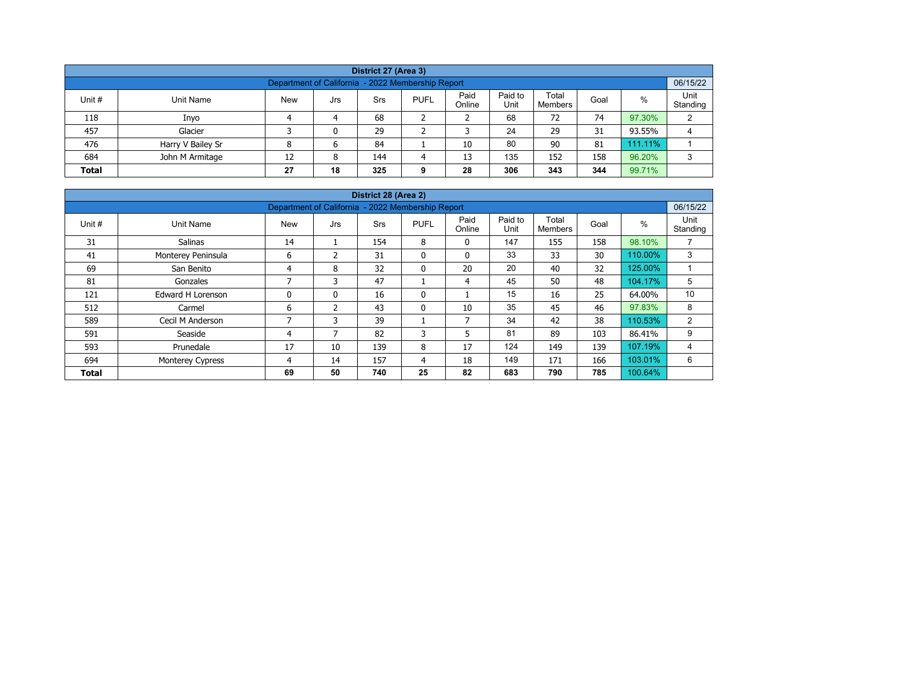| District 27 (Area 3)                                                                                                                                    |                   |   |   |    |  |    |    |    |    |         |   |  |  |  |
|---------------------------------------------------------------------------------------------------------------------------------------------------------|-------------------|---|---|----|--|----|----|----|----|---------|---|--|--|--|
| Department of California - 2022 Membership Report                                                                                                       |                   |   |   |    |  |    |    |    |    |         |   |  |  |  |
| Paid<br>Paid to<br>Total<br>%<br>Unit #<br><b>New</b><br><b>PUFL</b><br>Unit Name<br>Srs<br>Goal<br>Jrs<br>Unit<br>Online<br>Standing<br><b>Members</b> |                   |   |   |    |  |    |    |    |    |         |   |  |  |  |
| 118                                                                                                                                                     | Inyo              |   | 4 | 68 |  |    | 68 | 72 | 74 | 97.30%  | 2 |  |  |  |
| 457                                                                                                                                                     | Glacier           |   | 0 | 29 |  |    | 24 | 29 | 31 | 93.55%  | 4 |  |  |  |
| 476                                                                                                                                                     | Harry V Bailey Sr | 8 | 6 | 84 |  | 10 | 80 | 90 | 81 | 111.11% |   |  |  |  |
| 135<br>96.20%<br>152<br>684<br>158<br>John M Armitage<br>12<br>144<br>13<br>8<br>4                                                                      |                   |   |   |    |  |    |    |    |    |         |   |  |  |  |
| 18<br>306<br>344<br>99.71%<br>343<br>27<br>28<br><b>Total</b><br>325<br>9                                                                               |                   |   |   |    |  |    |    |    |    |         |   |  |  |  |

| District 28 (Area 2)                                                        |                          |            |                |            |              |                          |                 |                         |      |         |                  |  |  |  |
|-----------------------------------------------------------------------------|--------------------------|------------|----------------|------------|--------------|--------------------------|-----------------|-------------------------|------|---------|------------------|--|--|--|
| Department of California - 2022 Membership Report                           |                          |            |                |            |              |                          |                 |                         |      |         |                  |  |  |  |
| Unit #                                                                      | Unit Name                | <b>New</b> | Jrs            | <b>Srs</b> | <b>PUFL</b>  | Paid<br>Online           | Paid to<br>Unit | Total<br><b>Members</b> | Goal | $\%$    | Unit<br>Standing |  |  |  |
| 31                                                                          | <b>Salinas</b>           | 14         |                | 154        | 8            | $\mathbf{0}$             | 147             | 155                     | 158  | 98.10%  | ⇁                |  |  |  |
| 41                                                                          | Monterey Peninsula       | 6          | $\mathfrak z$  | 31         | $\mathbf{0}$ | $\mathbf{0}$             | 33              | 33                      | 30   | 110.00% | 3                |  |  |  |
| 69                                                                          | San Benito               | 4          | 8              | 32         | $\mathbf{0}$ | 20                       | 20              | 40                      | 32   | 125.00% |                  |  |  |  |
| 81                                                                          | Gonzales                 | ⇁          | 3              | 47         |              | 4                        | 45              | 50                      | 48   | 104.17% | 5                |  |  |  |
| 121                                                                         | <b>Edward H Lorenson</b> | 0          | 0              | 16         | 0            |                          | 15              | 16                      | 25   | 64.00%  | 10               |  |  |  |
| 512                                                                         | Carmel                   | 6          | $\overline{2}$ | 43         | 0            | 10                       | 35              | 45                      | 46   | 97.83%  | 8                |  |  |  |
| 589                                                                         | Cecil M Anderson         | 7          | 3              | 39         |              | $\overline{\phantom{a}}$ | 34              | 42                      | 38   | 110.53% | 2                |  |  |  |
| 591                                                                         | Seaside                  | 4          | 7              | 82         | 3            | 5                        | 81              | 89                      | 103  | 86.41%  | 9                |  |  |  |
| 593                                                                         | Prunedale                | 17         | 10             | 139        | 8            | 17                       | 124             | 149                     | 139  | 107.19% | 4                |  |  |  |
| 694                                                                         | Monterey Cypress         | 4          | 14             | 157        | 4            | 18                       | 149             | 171                     | 166  | 103.01% | 6                |  |  |  |
| 25<br>785<br>50<br>740<br>82<br>683<br>790<br>69<br>100.64%<br><b>Total</b> |                          |            |                |            |              |                          |                 |                         |      |         |                  |  |  |  |